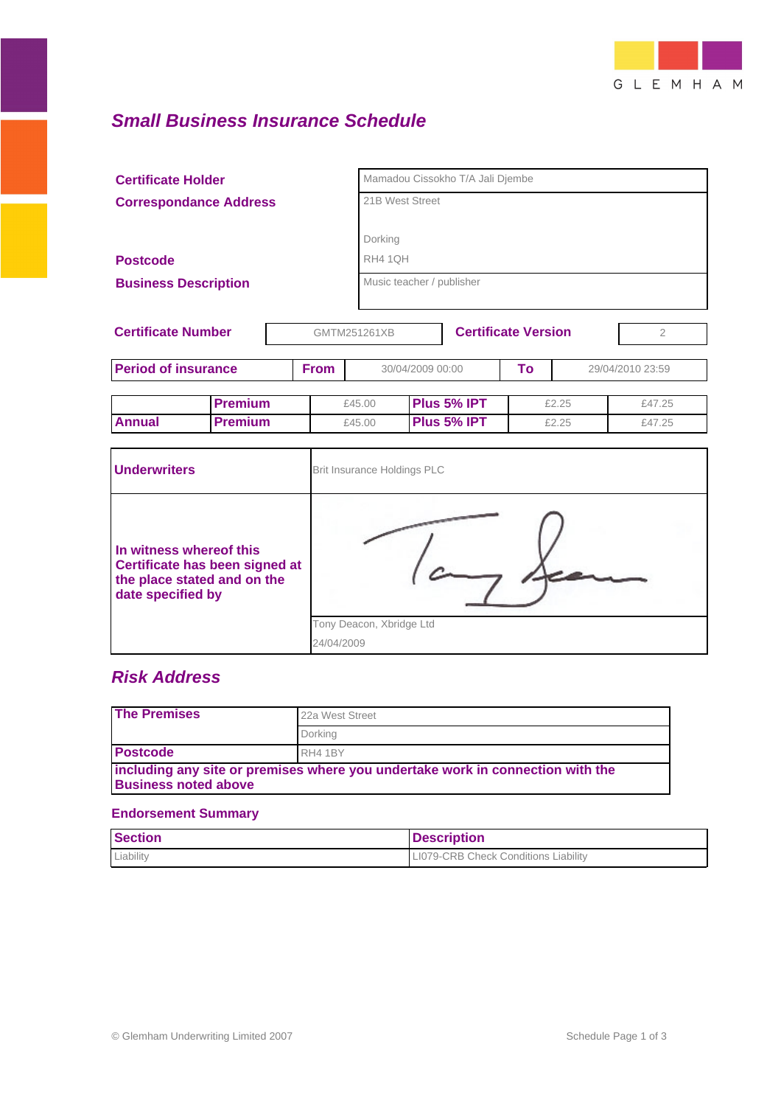

# **Small Business Insurance Schedule**

| <b>Certificate Holder</b><br><b>Correspondance Address</b> |                |              |                             | Mamadou Cissokho T/A Jali Djembe<br>21B West Street |    |                |                  |
|------------------------------------------------------------|----------------|--------------|-----------------------------|-----------------------------------------------------|----|----------------|------------------|
|                                                            |                |              |                             |                                                     |    |                |                  |
|                                                            |                |              |                             |                                                     |    |                |                  |
|                                                            |                |              | Dorking                     |                                                     |    |                |                  |
| <b>Postcode</b>                                            |                |              |                             | RH4 1QH                                             |    |                |                  |
| <b>Business Description</b>                                |                |              |                             | Music teacher / publisher                           |    |                |                  |
|                                                            |                |              |                             |                                                     |    |                |                  |
| <b>Certificate Number</b>                                  |                | GMTM251261XB |                             | <b>Certificate Version</b>                          |    | $\overline{2}$ |                  |
| <b>Period of insurance</b>                                 |                | <b>From</b>  |                             | 30/04/2009 00:00                                    | To |                | 29/04/2010 23:59 |
|                                                            | <b>Premium</b> |              | £45.00                      | Plus 5% IPT                                         |    | £2.25          | £47.25           |
| <b>Annual</b>                                              | <b>Premium</b> |              | £45.00                      | Plus 5% IPT                                         |    | £2.25          | £47.25           |
|                                                            |                |              |                             |                                                     |    |                |                  |
| <b>Underwriters</b>                                        |                |              | Brit Insurance Holdings PLC |                                                     |    |                |                  |
|                                                            |                |              |                             |                                                     |    |                |                  |

| In witness whereof this<br>Certificate has been signed at<br>the place stated and on the<br>date specified by |                          |
|---------------------------------------------------------------------------------------------------------------|--------------------------|
|                                                                                                               | Tony Deacon, Xbridge Ltd |
|                                                                                                               | 24/04/2009               |

# **Risk Address**

| <b>The Premises</b>                                                                                           | 22a West Street |  |  |  |
|---------------------------------------------------------------------------------------------------------------|-----------------|--|--|--|
|                                                                                                               | Dorking         |  |  |  |
| <b>Postcode</b>                                                                                               | RH4 1BY         |  |  |  |
| including any site or premises where you undertake work in connection with the<br><b>Business noted above</b> |                 |  |  |  |

#### **Endorsement Summary**

| <b>Section</b> | <b>Description</b>                          |
|----------------|---------------------------------------------|
| Liability      | <b>LI079-CRB Check Conditions Liability</b> |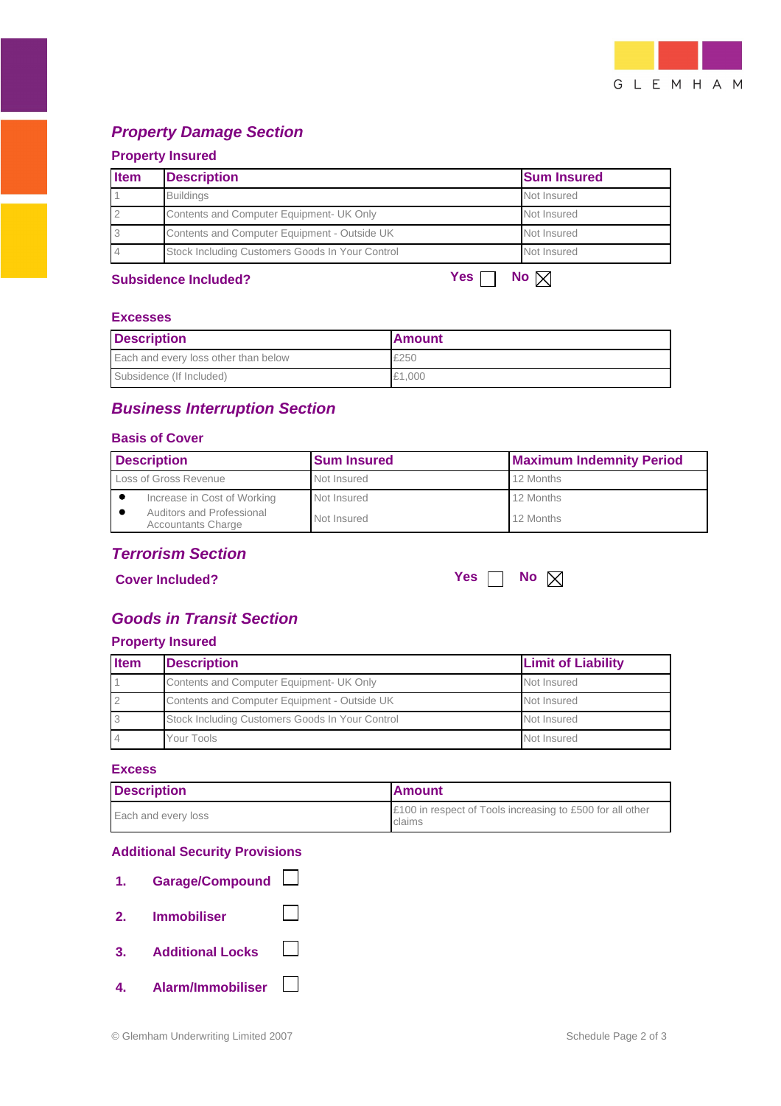

# **Property Damage Section**

### **Property Insured**

| <b>Item</b>    | <b>Description</b>                              | <b>Sum Insured</b>  |
|----------------|-------------------------------------------------|---------------------|
|                | <b>Buildings</b>                                | Not Insured         |
| $\overline{2}$ | Contents and Computer Equipment- UK Only        | Not Insured         |
| 3              | Contents and Computer Equipment - Outside UK    | Not Insured         |
|                | Stock Including Customers Goods In Your Control | Not Insured         |
|                | <b>Subsidence Included?</b>                     | Yes<br>No $\bowtie$ |

#### **Excesses**

| <b>Description</b>                   | <b>Amount</b> |  |
|--------------------------------------|---------------|--|
| Each and every loss other than below | £250          |  |
| Subsidence (If Included)             | £1.000        |  |

# **Business Interruption Section**

#### **Basis of Cover**

| <b>Description</b>                                     | <b>Sum Insured</b> | <b>Maximum Indemnity Period</b> |
|--------------------------------------------------------|--------------------|---------------------------------|
| Loss of Gross Revenue                                  | Not Insured        | 12 Months                       |
| Increase in Cost of Working                            | Not Insured        | 12 Months                       |
| Auditors and Professional<br><b>Accountants Charge</b> | Not Insured        | 12 Months                       |

## **Terrorism Section**

**Cover Included? Y** 

| 795 |  | <b>No</b> | ⊠ |
|-----|--|-----------|---|
|     |  |           |   |

# **Goods in Transit Section**

## **Property Insured**

| <b>Item</b>     | <b>Description</b>                              | <b>Limit of Liability</b> |
|-----------------|-------------------------------------------------|---------------------------|
|                 | Contents and Computer Equipment- UK Only        | Not Insured               |
| $\overline{2}$  | Contents and Computer Equipment - Outside UK    | Not Insured               |
| 3               | Stock Including Customers Goods In Your Control | Not Insured               |
| $\overline{14}$ | Your Tools                                      | Not Insured               |

#### **Excess**

| <b>Description</b>  | <b>Amount</b>                                                       |  |
|---------------------|---------------------------------------------------------------------|--|
| Each and every loss | £100 in respect of Tools increasing to £500 for all other<br>claims |  |

#### **Additional Security Provisions**

| 1. | Garage/Compound         |  |
|----|-------------------------|--|
| 2. | <b>Immobiliser</b>      |  |
| 3. | <b>Additional Locks</b> |  |
|    | 4. Alarm/Immobiliser    |  |